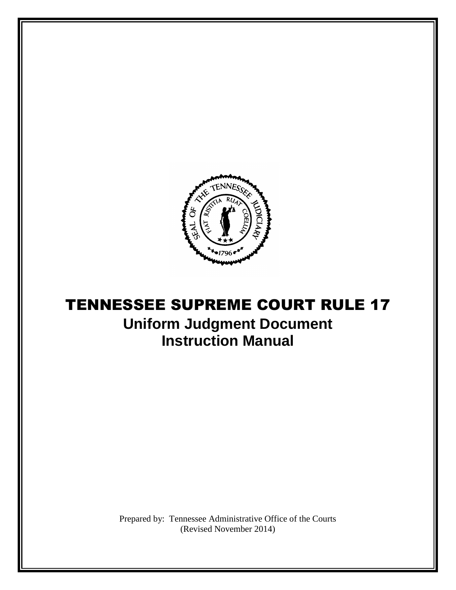

# TENNESSEE SUPREME COURT RULE 17 **Uniform Judgment Document Instruction Manual**

Prepared by: Tennessee Administrative Office of the Courts (Revised November 2014)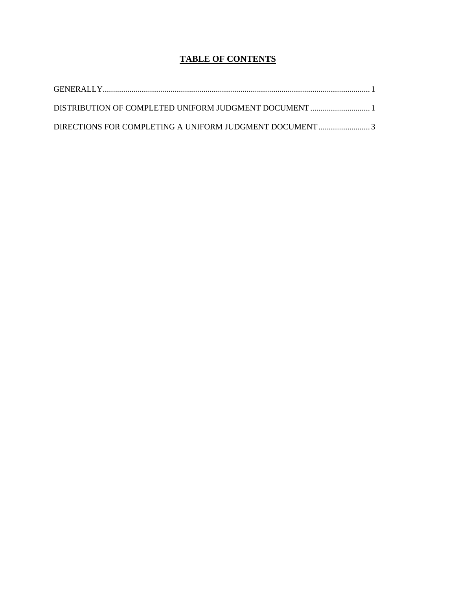## **TABLE OF CONTENTS**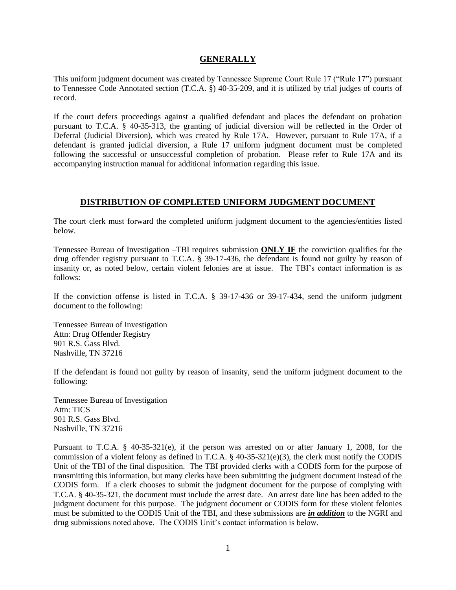#### **GENERALLY**

This uniform judgment document was created by Tennessee Supreme Court Rule 17 ("Rule 17") pursuant to Tennessee Code Annotated section (T.C.A. §) 40-35-209, and it is utilized by trial judges of courts of record.

If the court defers proceedings against a qualified defendant and places the defendant on probation pursuant to T.C.A. § 40-35-313, the granting of judicial diversion will be reflected in the Order of Deferral (Judicial Diversion), which was created by Rule 17A. However, pursuant to Rule 17A, if a defendant is granted judicial diversion, a Rule 17 uniform judgment document must be completed following the successful or unsuccessful completion of probation. Please refer to Rule 17A and its accompanying instruction manual for additional information regarding this issue.

#### **DISTRIBUTION OF COMPLETED UNIFORM JUDGMENT DOCUMENT**

The court clerk must forward the completed uniform judgment document to the agencies/entities listed below.

Tennessee Bureau of Investigation –TBI requires submission **ONLY IF** the conviction qualifies for the drug offender registry pursuant to T.C.A. § 39-17-436, the defendant is found not guilty by reason of insanity or, as noted below, certain violent felonies are at issue. The TBI's contact information is as follows:

If the conviction offense is listed in T.C.A. § 39-17-436 or 39-17-434, send the uniform judgment document to the following:

Tennessee Bureau of Investigation Attn: Drug Offender Registry 901 R.S. Gass Blvd. Nashville, TN 37216

If the defendant is found not guilty by reason of insanity, send the uniform judgment document to the following:

Tennessee Bureau of Investigation Attn: TICS 901 R.S. Gass Blvd. Nashville, TN 37216

Pursuant to T.C.A. § 40-35-321(e), if the person was arrested on or after January 1, 2008, for the commission of a violent felony as defined in T.C.A.  $\S$  40-35-321(e)(3), the clerk must notify the CODIS Unit of the TBI of the final disposition. The TBI provided clerks with a CODIS form for the purpose of transmitting this information, but many clerks have been submitting the judgment document instead of the CODIS form. If a clerk chooses to submit the judgment document for the purpose of complying with T.C.A. § 40-35-321, the document must include the arrest date. An arrest date line has been added to the judgment document for this purpose. The judgment document or CODIS form for these violent felonies must be submitted to the CODIS Unit of the TBI, and these submissions are *in addition* to the NGRI and drug submissions noted above. The CODIS Unit's contact information is below.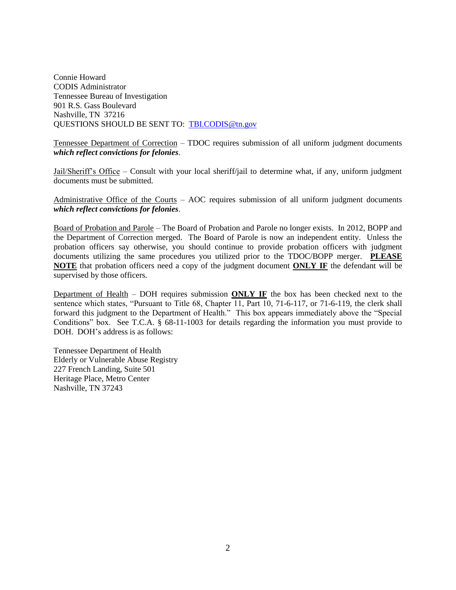Connie Howard CODIS Administrator Tennessee Bureau of Investigation 901 R.S. Gass Boulevard Nashville, TN 37216 QUESTIONS SHOULD BE SENT TO: [TBI.CODIS@tn.gov](mailto:TBI.CODIS@tn.gov) 

Tennessee Department of Correction – TDOC requires submission of all uniform judgment documents *which reflect convictions for felonies*.

Jail/Sheriff's Office – Consult with your local sheriff/jail to determine what, if any, uniform judgment documents must be submitted.

Administrative Office of the Courts – AOC requires submission of all uniform judgment documents *which reflect convictions for felonies*.

Board of Probation and Parole – The Board of Probation and Parole no longer exists. In 2012, BOPP and the Department of Correction merged. The Board of Parole is now an independent entity. Unless the probation officers say otherwise, you should continue to provide probation officers with judgment documents utilizing the same procedures you utilized prior to the TDOC/BOPP merger. **PLEASE NOTE** that probation officers need a copy of the judgment document **ONLY IF** the defendant will be supervised by those officers.

Department of Health – DOH requires submission **ONLY IF** the box has been checked next to the sentence which states, "Pursuant to Title 68, Chapter 11, Part 10, 71-6-117, or 71-6-119, the clerk shall forward this judgment to the Department of Health." This box appears immediately above the "Special Conditions" box. See T.C.A. § 68-11-1003 for details regarding the information you must provide to DOH. DOH's address is as follows:

Tennessee Department of Health Elderly or Vulnerable Abuse Registry 227 French Landing, Suite 501 Heritage Place, Metro Center Nashville, TN 37243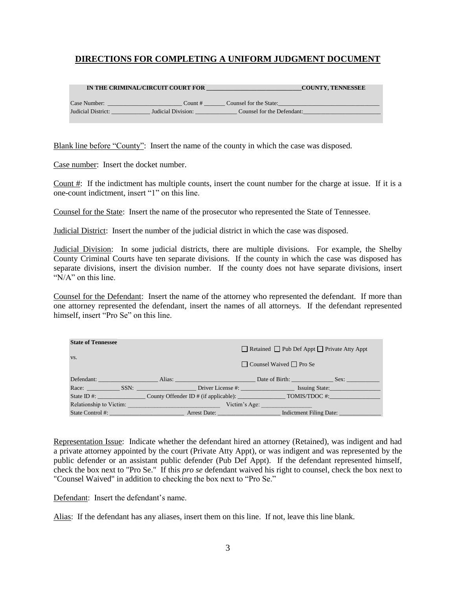### **DIRECTIONS FOR COMPLETING A UNIFORM JUDGMENT DOCUMENT**

|                    | IN THE CRIMINAL/CIRCUIT COURT FOR |                            | <b>COUNTY, TENNESSEE</b> |
|--------------------|-----------------------------------|----------------------------|--------------------------|
| Case Number:       | Count $#$                         | Counsel for the State:     |                          |
| Judicial District: | Judicial Division:                | Counsel for the Defendant: |                          |
|                    |                                   |                            |                          |

Blank line before "County": Insert the name of the county in which the case was disposed.

Case number: Insert the docket number.

Count #: If the indictment has multiple counts, insert the count number for the charge at issue. If it is a one-count indictment, insert "1" on this line.

Counsel for the State: Insert the name of the prosecutor who represented the State of Tennessee.

Judicial District: Insert the number of the judicial district in which the case was disposed.

Judicial Division: In some judicial districts, there are multiple divisions. For example, the Shelby County Criminal Courts have ten separate divisions. If the county in which the case was disposed has separate divisions, insert the division number. If the county does not have separate divisions, insert "N/A" on this line.

Counsel for the Defendant: Insert the name of the attorney who represented the defendant. If more than one attorney represented the defendant, insert the names of all attorneys. If the defendant represented himself, insert "Pro Se" on this line.

| <b>State of Tennessee</b> |                                             | $\Box$ Retained $\Box$ Pub Def Appt $\Box$ Private Atty Appt           |
|---------------------------|---------------------------------------------|------------------------------------------------------------------------|
| VS.                       |                                             | $\Box$ Counsel Waived $\Box$ Pro Se                                    |
|                           |                                             | Defendant: Sex: Alias: Alias: Date of Birth: Sex:                      |
|                           |                                             | Race: SSN: SSN: Driver License #: SSN: Driver License & Essuing State: |
|                           |                                             | State ID #: County Offender ID # (if applicable): TOMIS/TDOC #:        |
|                           | <b>Relationship to Victim: Example 2014</b> | Victim's Age:                                                          |
| State Control #:          | Arrest Date:                                | Indictment Filing Date:                                                |

Representation Issue: Indicate whether the defendant hired an attorney (Retained), was indigent and had a private attorney appointed by the court (Private Atty Appt), or was indigent and was represented by the public defender or an assistant public defender (Pub Def Appt). If the defendant represented himself, check the box next to "Pro Se." If this *pro se* defendant waived his right to counsel, check the box next to "Counsel Waived" in addition to checking the box next to "Pro Se."

Defendant: Insert the defendant's name.

Alias: If the defendant has any aliases, insert them on this line. If not, leave this line blank.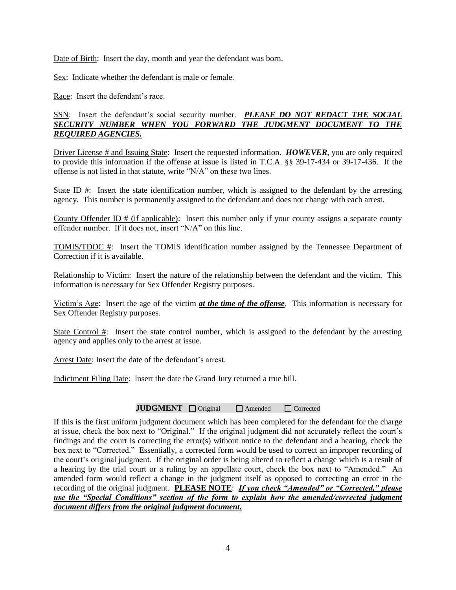Date of Birth: Insert the day, month and year the defendant was born.

Sex: Indicate whether the defendant is male or female.

Race: Insert the defendant's race.

#### SSN: Insert the defendant's social security number. **PLEASE DO NOT REDACT THE SOCIAL** *SECURITY NUMBER WHEN YOU FORWARD THE JUDGMENT DOCUMENT TO THE REQUIRED AGENCIES.*

Driver License # and Issuing State: Insert the requested information. *HOWEVER*, you are only required to provide this information if the offense at issue is listed in T.C.A. §§ 39-17-434 or 39-17-436. If the offense is not listed in that statute, write "N/A" on these two lines.

State ID #: Insert the state identification number, which is assigned to the defendant by the arresting agency. This number is permanently assigned to the defendant and does not change with each arrest.

County Offender ID # (if applicable): Insert this number only if your county assigns a separate county offender number. If it does not, insert "N/A" on this line.

TOMIS/TDOC #: Insert the TOMIS identification number assigned by the Tennessee Department of Correction if it is available.

Relationship to Victim: Insert the nature of the relationship between the defendant and the victim. This information is necessary for Sex Offender Registry purposes.

Victim's Age: Insert the age of the victim *at the time of the offense*. This information is necessary for Sex Offender Registry purposes.

State Control #: Insert the state control number, which is assigned to the defendant by the arresting agency and applies only to the arrest at issue.

Arrest Date: Insert the date of the defendant's arrest.

Indictment Filing Date: Insert the date the Grand Jury returned a true bill.

#### **JUDGMENT** <u>Quiginal</u> **Amended Quiginal Corrected**

If this is the first uniform judgment document which has been completed for the defendant for the charge at issue, check the box next to "Original." If the original judgment did not accurately reflect the court's findings and the court is correcting the error(s) without notice to the defendant and a hearing, check the box next to "Corrected." Essentially, a corrected form would be used to correct an improper recording of the court's original judgment. If the original order is being altered to reflect a change which is a result of a hearing by the trial court or a ruling by an appellate court, check the box next to "Amended." An amended form would reflect a change in the judgment itself as opposed to correcting an error in the recording of the original judgment. **PLEASE NOTE**: *If you check "Amended" or "Corrected," please use the "Special Conditions" section of the form to explain how the amended/corrected judgment document differs from the original judgment document.*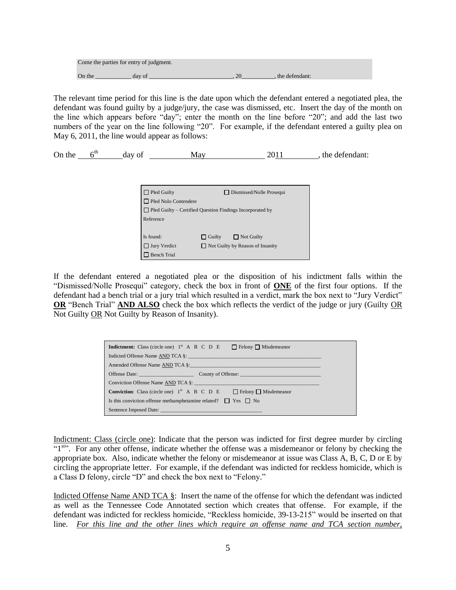| Come the parties for entry of judgment. |        |                |
|-----------------------------------------|--------|----------------|
| On the                                  | day of | the defendant: |

The relevant time period for this line is the date upon which the defendant entered a negotiated plea, the defendant was found guilty by a judge/jury, the case was dismissed, etc. Insert the day of the month on the line which appears before "day"; enter the month on the line before "20"; and add the last two numbers of the year on the line following "20". For example, if the defendant entered a guilty plea on May 6, 2011, the line would appear as follows:

On the  $6^{\text{th}}$  day of  $\frac{\text{May}}{\text{day}}$  2011, the defendant:

| $\Box$ Pled Guilty          | Dismissed/Nolle Prosequi                                         |
|-----------------------------|------------------------------------------------------------------|
| $\Box$ Pled Nolo Contendere |                                                                  |
|                             | $\Box$ Pled Guilty – Certified Question Findings Incorporated by |
| Reference                   |                                                                  |
|                             |                                                                  |
| Is found:                   | $\Box$ Guilty<br>$\Box$ Not Guilty                               |
| $\Box$ Jury Verdict         | $\Box$ Not Guilty by Reason of Insanity                          |
| <b>Bench Trial</b>          |                                                                  |

If the defendant entered a negotiated plea or the disposition of his indictment falls within the "Dismissed/Nolle Prosequi" category, check the box in front of **ONE** of the first four options. If the defendant had a bench trial or a jury trial which resulted in a verdict, mark the box next to "Jury Verdict" **OR** "Bench Trial" **AND ALSO** check the box which reflects the verdict of the judge or jury (Guilty OR Not Guilty OR Not Guilty by Reason of Insanity).

| $\Box$ Felony $\Box$ Misdemeanor<br><b>Indictment:</b> Class (circle one) $1st$ A B C D E |
|-------------------------------------------------------------------------------------------|
|                                                                                           |
| Amended Offense Name AND TCA §:                                                           |
| Offense Date: County of Offense: County of Offense:                                       |
| Conviction Offense Name AND TCA §:                                                        |
| <b>Conviction:</b> Class (circle one) $1st$ A B C D E<br>$\Box$ Felony $\Box$ Misdemeanor |
| Is this conviction offense methamphetamine related? $\Box$ Yes $\Box$ No                  |
|                                                                                           |

Indictment: Class (circle one): Indicate that the person was indicted for first degree murder by circling "1<sup>st</sup>". For any other offense, indicate whether the offense was a misdemeanor or felony by checking the appropriate box. Also, indicate whether the felony or misdemeanor at issue was Class A, B, C, D or E by circling the appropriate letter. For example, if the defendant was indicted for reckless homicide, which is a Class D felony, circle "D" and check the box next to "Felony."

Indicted Offense Name AND TCA §: Insert the name of the offense for which the defendant was indicted as well as the Tennessee Code Annotated section which creates that offense. For example, if the defendant was indicted for reckless homicide, "Reckless homicide, 39-13-215" would be inserted on that line. *For this line and the other lines which require an offense name and TCA section number,*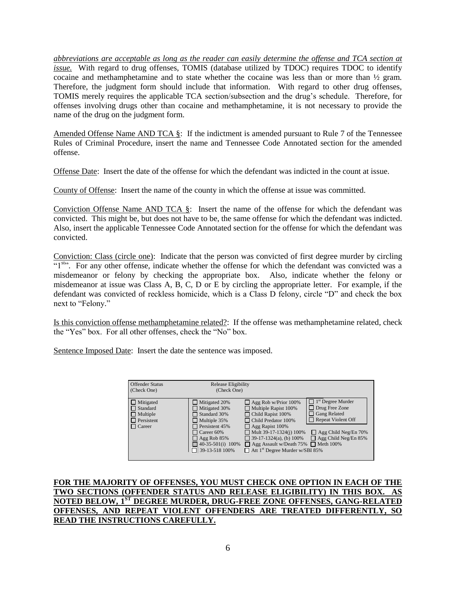*abbreviations are acceptable as long as the reader can easily determine the offense and TCA section at issue.* With regard to drug offenses, TOMIS (database utilized by TDOC) requires TDOC to identify cocaine and methamphetamine and to state whether the cocaine was less than or more than ½ gram. Therefore, the judgment form should include that information. With regard to other drug offenses, TOMIS merely requires the applicable TCA section/subsection and the drug's schedule. Therefore, for offenses involving drugs other than cocaine and methamphetamine, it is not necessary to provide the name of the drug on the judgment form.

Amended Offense Name AND TCA §: If the indictment is amended pursuant to Rule 7 of the Tennessee Rules of Criminal Procedure, insert the name and Tennessee Code Annotated section for the amended offense.

Offense Date: Insert the date of the offense for which the defendant was indicted in the count at issue.

County of Offense: Insert the name of the county in which the offense at issue was committed.

Conviction Offense Name AND TCA  $\S$ : Insert the name of the offense for which the defendant was convicted. This might be, but does not have to be, the same offense for which the defendant was indicted. Also, insert the applicable Tennessee Code Annotated section for the offense for which the defendant was convicted.

Conviction: Class (circle one): Indicate that the person was convicted of first degree murder by circling "1<sup>st</sup>". For any other offense, indicate whether the offense for which the defendant was convicted was a misdemeanor or felony by checking the appropriate box. Also, indicate whether the felony or misdemeanor at issue was Class A, B, C, D or E by circling the appropriate letter. For example, if the defendant was convicted of reckless homicide, which is a Class D felony, circle "D" and check the box next to "Felony."

Is this conviction offense methamphetamine related?: If the offense was methamphetamine related, check the "Yes" box. For all other offenses, check the "No" box.

Sentence Imposed Date: Insert the date the sentence was imposed.

| <b>Offender Status</b><br>(Check One)                                                        | Release Eligibility<br>(Check One)                                                                                                                                                                           |                                                                                                                                                                                                                                                                                                            |                                                                                                                                                                            |
|----------------------------------------------------------------------------------------------|--------------------------------------------------------------------------------------------------------------------------------------------------------------------------------------------------------------|------------------------------------------------------------------------------------------------------------------------------------------------------------------------------------------------------------------------------------------------------------------------------------------------------------|----------------------------------------------------------------------------------------------------------------------------------------------------------------------------|
| $\Box$ Mitigated<br>$\Box$ Standard<br>$\Box$ Multiple<br>$\Box$ Persistent<br>$\Box$ Career | $\Box$ Mitigated 20%<br>$\Box$ Mitigated 30%<br>Standard 30%<br>$\Box$ Multiple 35%<br>$\Box$ Persistent 45%<br>$\Box$ Career 60%<br>$\Box$ Agg Rob 85%<br>$\Box$ 40-35-501(i) 100%<br>$\Box$ 39-13-518 100% | $\Box$ Agg Rob w/Prior 100%<br>$\Box$ Multiple Rapist 100%<br>$\Box$ Child Rapist 100%<br>Child Predator 100%<br>$\Box$ Agg Rapist 100%<br>$\Box$ Mult 39-17-1324(j) 100%<br>$\Box$ 39-17-1324(a), (b) 100%<br>□ Agg Assault w/Death 75% □ Meth 100%<br>$\Box$ Att 1 <sup>st</sup> Degree Murder w/SBI 85% | $\Box$ 1 <sup>st</sup> Degree Murder<br>Drug Free Zone<br>$\mathsf{L}$<br>Gang Related<br>Repeat Violent Off<br>$\Box$ Agg Child Neg/En 70%<br>$\Box$ Agg Child Neg/En 85% |

**FOR THE MAJORITY OF OFFENSES, YOU MUST CHECK ONE OPTION IN EACH OF THE TWO SECTIONS (OFFENDER STATUS AND RELEASE ELIGIBILITY) IN THIS BOX. AS NOTED BELOW, 1ST DEGREE MURDER, DRUG-FREE ZONE OFFENSES, GANG-RELATED OFFENSES, AND REPEAT VIOLENT OFFENDERS ARE TREATED DIFFERENTLY, SO READ THE INSTRUCTIONS CAREFULLY.**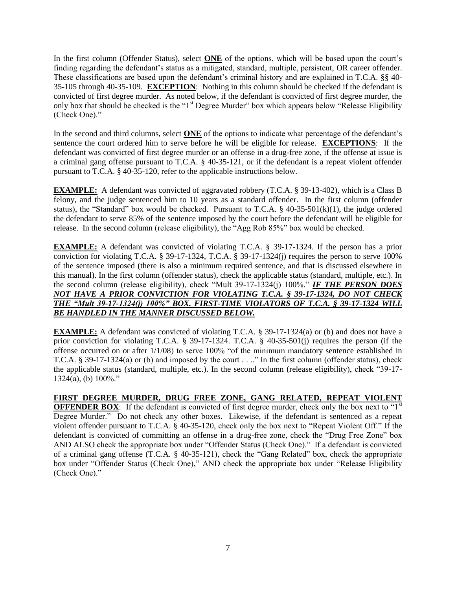In the first column (Offender Status), select **ONE** of the options, which will be based upon the court's finding regarding the defendant's status as a mitigated, standard, multiple, persistent, OR career offender. These classifications are based upon the defendant's criminal history and are explained in T.C.A. §§ 40- 35-105 through 40-35-109. **EXCEPTION**: Nothing in this column should be checked if the defendant is convicted of first degree murder. As noted below, if the defendant is convicted of first degree murder, the only box that should be checked is the "1<sup>st</sup> Degree Murder" box which appears below "Release Eligibility (Check One)."

In the second and third columns, select **ONE** of the options to indicate what percentage of the defendant's sentence the court ordered him to serve before he will be eligible for release. **EXCEPTIONS**: If the defendant was convicted of first degree murder or an offense in a drug-free zone, if the offense at issue is a criminal gang offense pursuant to T.C.A. § 40-35-121, or if the defendant is a repeat violent offender pursuant to T.C.A. § 40-35-120, refer to the applicable instructions below.

**EXAMPLE:** A defendant was convicted of aggravated robbery (T.C.A. § 39-13-402), which is a Class B felony, and the judge sentenced him to 10 years as a standard offender. In the first column (offender status), the "Standard" box would be checked. Pursuant to T.C.A. § 40-35-501(k)(1), the judge ordered the defendant to serve 85% of the sentence imposed by the court before the defendant will be eligible for release. In the second column (release eligibility), the "Agg Rob 85%" box would be checked.

**EXAMPLE:** A defendant was convicted of violating T.C.A. § 39-17-1324. If the person has a prior conviction for violating T.C.A. § 39-17-1324, T.C.A. § 39-17-1324(j) requires the person to serve 100% of the sentence imposed (there is also a minimum required sentence, and that is discussed elsewhere in this manual). In the first column (offender status), check the applicable status (standard, multiple, etc.). In the second column (release eligibility), check "Mult 39-17-1324(j) 100%." *IF THE PERSON DOES NOT HAVE A PRIOR CONVICTION FOR VIOLATING T.C.A. § 39-17-1324, DO NOT CHECK THE "Mult 39-17-1324(j) 100%" BOX. FIRST-TIME VIOLATORS OF T.C.A. § 39-17-1324 WILL BE HANDLED IN THE MANNER DISCUSSED BELOW.*

**EXAMPLE:** A defendant was convicted of violating T.C.A. § 39-17-1324(a) or (b) and does not have a prior conviction for violating T.C.A. § 39-17-1324. T.C.A. § 40-35-501(j) requires the person (if the offense occurred on or after 1/1/08) to serve 100% "of the minimum mandatory sentence established in T.C.A. § 39-17-1324(a) or (b) and imposed by the court . . .." In the first column (offender status), check the applicable status (standard, multiple, etc.). In the second column (release eligibility), check "39-17-  $1324(a)$ , (b)  $100\%$ ."

**FIRST DEGREE MURDER, DRUG FREE ZONE, GANG RELATED, REPEAT VIOLENT OFFENDER BOX:** If the defendant is convicted of first degree murder, check only the box next to " $1^{st}$ " Degree Murder." Do not check any other boxes. Likewise, if the defendant is sentenced as a repeat violent offender pursuant to T.C.A. § 40-35-120, check only the box next to "Repeat Violent Off." If the defendant is convicted of committing an offense in a drug-free zone, check the "Drug Free Zone" box AND ALSO check the appropriate box under "Offender Status (Check One)." If a defendant is convicted of a criminal gang offense (T.C.A. § 40-35-121), check the "Gang Related" box, check the appropriate box under "Offender Status (Check One)," AND check the appropriate box under "Release Eligibility (Check One)."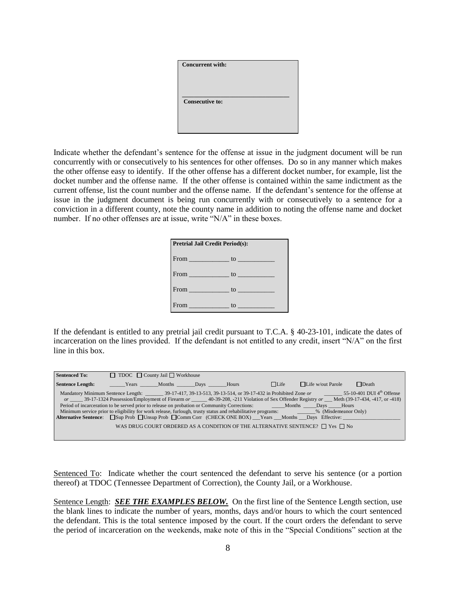| <b>Concurrent with:</b> |
|-------------------------|
|                         |
|                         |
|                         |
| <b>Consecutive to:</b>  |
|                         |
|                         |
|                         |

Indicate whether the defendant's sentence for the offense at issue in the judgment document will be run concurrently with or consecutively to his sentences for other offenses. Do so in any manner which makes the other offense easy to identify. If the other offense has a different docket number, for example, list the docket number and the offense name. If the other offense is contained within the same indictment as the current offense, list the count number and the offense name. If the defendant's sentence for the offense at issue in the judgment document is being run concurrently with or consecutively to a sentence for a conviction in a different county, note the county name in addition to noting the offense name and docket number. If no other offenses are at issue, write "N/A" in these boxes.

| <b>Pretrial Jail Credit Period(s):</b>  |    |  |  |  |  |  |
|-----------------------------------------|----|--|--|--|--|--|
|                                         |    |  |  |  |  |  |
| From $\qquad \qquad$ to $\qquad \qquad$ |    |  |  |  |  |  |
|                                         |    |  |  |  |  |  |
|                                         | to |  |  |  |  |  |

If the defendant is entitled to any pretrial jail credit pursuant to T.C.A. § 40-23-101, indicate the dates of incarceration on the lines provided. If the defendant is not entitled to any credit, insert "N/A" on the first line in this box.

| <b>Sentenced To:</b>    | $\Box$ TDOC $\Box$ County Jail $\Box$ Workhouse |  |             |                                                                                                                                                                                                                                                                                                                                                                                                                                                                                                                                                                                                                                                                                                                                                 |              |  |
|-------------------------|-------------------------------------------------|--|-------------|-------------------------------------------------------------------------------------------------------------------------------------------------------------------------------------------------------------------------------------------------------------------------------------------------------------------------------------------------------------------------------------------------------------------------------------------------------------------------------------------------------------------------------------------------------------------------------------------------------------------------------------------------------------------------------------------------------------------------------------------------|--------------|--|
| <b>Sentence Length:</b> | <b>Example 3</b> Years Months Days Hours        |  | $\Box$ Life | $\Box$ Life w/out Parole                                                                                                                                                                                                                                                                                                                                                                                                                                                                                                                                                                                                                                                                                                                        | $\Box$ Death |  |
|                         |                                                 |  |             | Mandatory Minimum Sentence Length: 39-17-417, 39-13-513, 39-13-514, or 39-17-432 in Prohibited Zone or 55-10-401 DUI 4th Offense<br>or 39-17-1324 Possession/Employment of Firearm or 40-39-208, -211 Violation of Sex Offender Registry or Meth (39-17-434, -417, or -418)<br>Period of incarceration to be served prior to release on probation or Community Corrections: Months _____Days _____Hours<br>Minimum service prior to eligibility for work release, furlough, trusty status and rehabilitative programs: 4.6% (Misdemeanor Only)<br>Alternative Sentence: Sup Prob □Unsup Prob □Comm Corr (CHECK ONE BOX) Years Months Days Effective:<br>WAS DRUG COURT ORDERED AS A CONDITION OF THE ALTERNATIVE SENTENCE? $\Box$ Yes $\Box$ No |              |  |

Sentenced To: Indicate whether the court sentenced the defendant to serve his sentence (or a portion thereof) at TDOC (Tennessee Department of Correction), the County Jail, or a Workhouse.

Sentence Length: *SEE THE EXAMPLES BELOW.* On the first line of the Sentence Length section, use the blank lines to indicate the number of years, months, days and/or hours to which the court sentenced the defendant. This is the total sentence imposed by the court. If the court orders the defendant to serve the period of incarceration on the weekends, make note of this in the "Special Conditions" section at the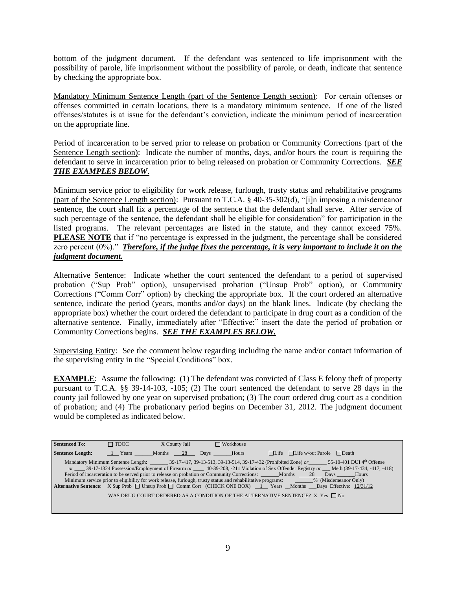bottom of the judgment document. If the defendant was sentenced to life imprisonment with the possibility of parole, life imprisonment without the possibility of parole, or death, indicate that sentence by checking the appropriate box.

Mandatory Minimum Sentence Length (part of the Sentence Length section): For certain offenses or offenses committed in certain locations, there is a mandatory minimum sentence. If one of the listed offenses/statutes is at issue for the defendant's conviction, indicate the minimum period of incarceration on the appropriate line.

Period of incarceration to be served prior to release on probation or Community Corrections (part of the Sentence Length section): Indicate the number of months, days, and/or hours the court is requiring the defendant to serve in incarceration prior to being released on probation or Community Corrections. *SEE THE EXAMPLES BELOW*.

Minimum service prior to eligibility for work release, furlough, trusty status and rehabilitative programs (part of the Sentence Length section): Pursuant to T.C.A. § 40-35-302(d), "[i]n imposing a misdemeanor sentence, the court shall fix a percentage of the sentence that the defendant shall serve. After service of such percentage of the sentence, the defendant shall be eligible for consideration" for participation in the listed programs. The relevant percentages are listed in the statute, and they cannot exceed 75%. **PLEASE NOTE** that if "no percentage is expressed in the judgment, the percentage shall be considered zero percent (0%)." *Therefore, if the judge fixes the percentage, it is very important to include it on the judgment document.*

Alternative Sentence: Indicate whether the court sentenced the defendant to a period of supervised probation ("Sup Prob" option), unsupervised probation ("Unsup Prob" option), or Community Corrections ("Comm Corr" option) by checking the appropriate box. If the court ordered an alternative sentence, indicate the period (years, months and/or days) on the blank lines. Indicate (by checking the appropriate box) whether the court ordered the defendant to participate in drug court as a condition of the alternative sentence. Finally, immediately after "Effective:" insert the date the period of probation or Community Corrections begins. *SEE THE EXAMPLES BELOW.*

Supervising Entity: See the comment below regarding including the name and/or contact information of the supervising entity in the "Special Conditions" box.

**EXAMPLE**: Assume the following: (1) The defendant was convicted of Class E felony theft of property pursuant to T.C.A. §§ 39-14-103, -105; (2) The court sentenced the defendant to serve 28 days in the county jail followed by one year on supervised probation; (3) The court ordered drug court as a condition of probation; and (4) The probationary period begins on December 31, 2012. The judgment document would be completed as indicated below.

| <b>Sentenced To:</b>    | $\Box$ TDOC                  | X County Jail |  | $\Box$ Workhouse |                                                                                                                                                                                                                                                                                                                                                                                                                                                                                                                                                                                                                                                                                                                                                                                      |
|-------------------------|------------------------------|---------------|--|------------------|--------------------------------------------------------------------------------------------------------------------------------------------------------------------------------------------------------------------------------------------------------------------------------------------------------------------------------------------------------------------------------------------------------------------------------------------------------------------------------------------------------------------------------------------------------------------------------------------------------------------------------------------------------------------------------------------------------------------------------------------------------------------------------------|
| <b>Sentence Length:</b> | 1 Years Months 28 Days Hours |               |  |                  | $\Box$ Life $\Box$ Life w/out Parole $\Box$ Death                                                                                                                                                                                                                                                                                                                                                                                                                                                                                                                                                                                                                                                                                                                                    |
|                         |                              |               |  |                  | Mandatory Minimum Sentence Length: __________ 39-17-417, 39-13-513, 39-13-514, 39-17-432 (Prohibited Zone) or ________ 55-10-401 DUI 4th Offense<br>or _____ 39-17-1324 Possession/Employment of Firearm or _____ 40-39-208, -211 Violation of Sex Offender Registry or ___ Meth (39-17-434, -417, -418)<br>Period of incarceration to be served prior to release on probation or Community Corrections: Months 28 Days Hours<br>Minimum service prior to eligibility for work release, furlough, trusty status and rehabilitative programs: ________% (Misdemeanor Only)<br>Alternative Sentence: X Sup Prob □ Unsup Prob □ Comm Corr (CHECK ONE BOX) 1 Years Months Days Effective: 12/31/12<br>WAS DRUG COURT ORDERED AS A CONDITION OF THE ALTERNATIVE SENTENCE? X Yes $\Box$ No |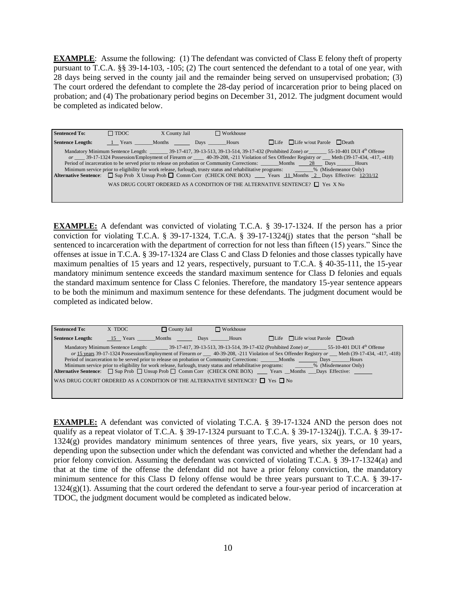**EXAMPLE**: Assume the following: (1) The defendant was convicted of Class E felony theft of property pursuant to T.C.A. §§ 39-14-103, -105; (2) The court sentenced the defendant to a total of one year, with 28 days being served in the county jail and the remainder being served on unsupervised probation; (3) The court ordered the defendant to complete the 28-day period of incarceration prior to being placed on probation; and (4) The probationary period begins on December 31, 2012. The judgment document would be completed as indicated below.

| <b>Sentenced To:</b>    | $\Box$ TDOC | X County Jail | $\Box$ Workhouse          |                                                                                                                                                                                                                                                                                               |
|-------------------------|-------------|---------------|---------------------------|-----------------------------------------------------------------------------------------------------------------------------------------------------------------------------------------------------------------------------------------------------------------------------------------------|
| <b>Sentence Length:</b> |             |               | 1 Years Months Days Hours | $\Box$ Life $\Box$ Life w/out Parole $\Box$ Death                                                                                                                                                                                                                                             |
|                         |             |               |                           | Mandatory Minimum Sentence Length: ________ 39-17-417, 39-13-513, 39-13-514, 39-17-432 (Prohibited Zone) or 55-10-401 DUI 4th Offense<br>or _____ 39-17-1324 Possession/Employment of Firearm or _____ 40-39-208, -211 Violation of Sex Offender Registry or ___ Meth (39-17-434, -417, -418) |
|                         |             |               |                           | Period of incarceration to be served prior to release on probation or Community Corrections: ______Months ____28 Days ______Hours                                                                                                                                                             |
|                         |             |               |                           | Minimum service prior to eligibility for work release, furlough, trusty status and rehabilitative programs: _______% (Misdemeanor Only)<br>Alternative Sentence: Sup Prob X Unsup Prob □ Comm Corr (CHECK ONE BOX) Years 11 Months 2 Days Effective: 12/31/12                                 |
|                         |             |               |                           | WAS DRUG COURT ORDERED AS A CONDITION OF THE ALTERNATIVE SENTENCE? $\Box$ Yes X No                                                                                                                                                                                                            |
|                         |             |               |                           |                                                                                                                                                                                                                                                                                               |

**EXAMPLE:** A defendant was convicted of violating T.C.A. § 39-17-1324. If the person has a prior conviction for violating T.C.A. § 39-17-1324, T.C.A. § 39-17-1324(j) states that the person "shall be sentenced to incarceration with the department of correction for not less than fifteen (15) years." Since the offenses at issue in T.C.A. § 39-17-1324 are Class C and Class D felonies and those classes typically have maximum penalties of 15 years and 12 years, respectively, pursuant to T.C.A. § 40-35-111, the 15-year mandatory minimum sentence exceeds the standard maximum sentence for Class D felonies and equals the standard maximum sentence for Class C felonies. Therefore, the mandatory 15-year sentence appears to be both the minimum and maximum sentence for these defendants. The judgment document would be completed as indicated below.

| <b>Sentenced To:</b>                                                                                                                    | X TDOC | $\Box$ County Jail | $\Box$ Workhouse           |  |                                                                                                                                               |  |
|-----------------------------------------------------------------------------------------------------------------------------------------|--------|--------------------|----------------------------|--|-----------------------------------------------------------------------------------------------------------------------------------------------|--|
| <b>Sentence Length:</b>                                                                                                                 |        |                    | 15 Years Months Days Hours |  | $\Box$ Life $\Box$ Life w/out Parole $\Box$ Death                                                                                             |  |
|                                                                                                                                         |        |                    |                            |  | Mandatory Minimum Sentence Length: _________ 39-17-417, 39-13-513, 39-13-514, 39-17-432 (Prohibited Zone) or 55-10-401 DUI 4th Offense        |  |
|                                                                                                                                         |        |                    |                            |  | or 15 years 39-17-1324 Possession/Employment of Firearm or 40-39-208, -211 Violation of Sex Offender Registry or Meth (39-17-434, -417, -418) |  |
|                                                                                                                                         |        |                    |                            |  | Period of incarceration to be served prior to release on probation or Community Corrections: ______ Months _______ Days ______ Hours          |  |
| Minimum service prior to eligibility for work release, furlough, trusty status and rehabilitative programs: _______% (Misdemeanor Only) |        |                    |                            |  |                                                                                                                                               |  |
|                                                                                                                                         |        |                    |                            |  | <b>Alternative Sentence:</b> $\Box$ Sup Prob $\Box$ Unsup Prob $\Box$ Comm Corr (CHECK ONE BOX) Years Months Days Effective:                  |  |
| WAS DRUG COURT ORDERED AS A CONDITION OF THE ALTERNATIVE SENTENCE? $\Box$ Yes $\Box$ No                                                 |        |                    |                            |  |                                                                                                                                               |  |

**EXAMPLE:** A defendant was convicted of violating T.C.A. § 39-17-1324 AND the person does not qualify as a repeat violator of T.C.A. § 39-17-1324 pursuant to T.C.A. § 39-17-1324(j). T.C.A. § 39-17- 1324(g) provides mandatory minimum sentences of three years, five years, six years, or 10 years, depending upon the subsection under which the defendant was convicted and whether the defendant had a prior felony conviction. Assuming the defendant was convicted of violating T.C.A. § 39-17-1324(a) and that at the time of the offense the defendant did not have a prior felony conviction, the mandatory minimum sentence for this Class D felony offense would be three years pursuant to T.C.A. § 39-17-  $1324(g)(1)$ . Assuming that the court ordered the defendant to serve a four-year period of incarceration at TDOC, the judgment document would be completed as indicated below.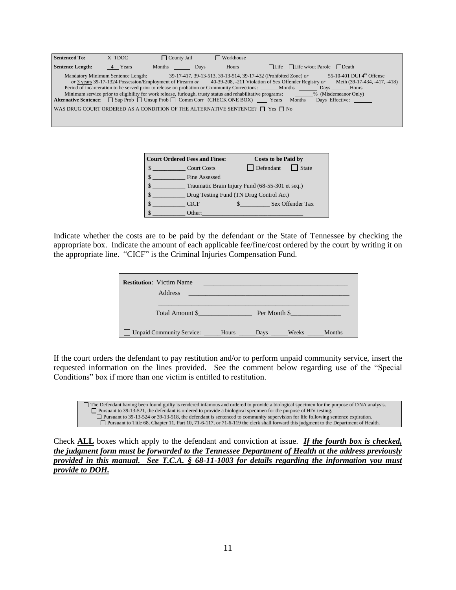| <b>Sentenced To:</b>    | X TDOC | $\Box$ County Jail        | $\Box$ Workhouse                                                                        |                                                                                                                                                                                                                                                                                                                                                                                                                                                                                                                                                                                                                                                                                        |
|-------------------------|--------|---------------------------|-----------------------------------------------------------------------------------------|----------------------------------------------------------------------------------------------------------------------------------------------------------------------------------------------------------------------------------------------------------------------------------------------------------------------------------------------------------------------------------------------------------------------------------------------------------------------------------------------------------------------------------------------------------------------------------------------------------------------------------------------------------------------------------------|
| <b>Sentence Length:</b> |        | 4 Years Months Days Hours |                                                                                         | $\Box$ Life $\Box$ Life w/out Parole $\Box$ Death                                                                                                                                                                                                                                                                                                                                                                                                                                                                                                                                                                                                                                      |
|                         |        |                           | WAS DRUG COURT ORDERED AS A CONDITION OF THE ALTERNATIVE SENTENCE? $\Box$ Yes $\Box$ No | Mandatory Minimum Sentence Length: 39-17-417, 39-13-513, 39-13-514, 39-17-432 (Prohibited Zone) or 55-10-401 DUI 4th Offense<br>or 3 years 39-17-1324 Possession/Employment of Firearm or 40-39-208, -211 Violation of Sex Offender Registry or Meth (39-17-434, -417, -418)<br>Period of incarceration to be served prior to release on probation or Community Corrections: ______Months _______Days ______Hours<br>Minimum service prior to eligibility for work release, furlough, trusty status and rehabilitative programs: ________% (Misdemeanor Only)<br>Alternative Sentence: $\Box$ Sup Prob $\Box$ Unsup Prob $\Box$ Comm Corr (CHECK ONE BOX) Years Months Days Effective: |
|                         |        |                           |                                                                                         |                                                                                                                                                                                                                                                                                                                                                                                                                                                                                                                                                                                                                                                                                        |

| <b>Court Ordered Fees and Fines:</b>            |                               | Costs to be Paid by |                  |
|-------------------------------------------------|-------------------------------|---------------------|------------------|
| \$<br><b>Court Costs</b>                        | Defendant                     |                     | <b>State</b>     |
| Fine Assessed                                   |                               |                     |                  |
| Traumatic Brain Injury Fund (68-55-301 et seq.) |                               |                     |                  |
| Drug Testing Fund (TN Drug Control Act)         |                               |                     |                  |
| <b>CICF</b>                                     | $\mathbb{S}$ and $\mathbb{S}$ |                     | Sex Offender Tax |
| Other:                                          |                               |                     |                  |

Indicate whether the costs are to be paid by the defendant or the State of Tennessee by checking the appropriate box. Indicate the amount of each applicable fee/fine/cost ordered by the court by writing it on the appropriate line. "CICF" is the Criminal Injuries Compensation Fund.

| <b>Restitution:</b> Victim Name<br>Address                  | <u> 1989 - Johann Stein, marwolaethau a bhann an t-Albann an t-Albann an t-Albann an t-Albann an t-Albann an t-Alb</u> |  |  |               |
|-------------------------------------------------------------|------------------------------------------------------------------------------------------------------------------------|--|--|---------------|
| Total Amount \$<br>Per Month \$                             |                                                                                                                        |  |  |               |
| Unpaid Community Service: _____Hours _____Days ____Weeks __ |                                                                                                                        |  |  | <b>Months</b> |

If the court orders the defendant to pay restitution and/or to perform unpaid community service, insert the requested information on the lines provided. See the comment below regarding use of the "Special Conditions" box if more than one victim is entitled to restitution.

The Defendant having been found guilty is rendered infamous and ordered to provide a biological specimen for the purpose of DNA analysis. Pursuant to 39-13-521, the defendant is ordered to provide a biological specimen for the purpose of HIV testing. Pursuant to 39-13-524 or 39-13-518, the defendant is sentenced to community supervision for life following sentence expiration. Pursuant to Title 68, Chapter 11, Part 10, 71-6-117, or 71-6-119 the clerk shall forward this judgment to the Department of Health.

Check **ALL** boxes which apply to the defendant and conviction at issue. *If the fourth box is checked, the judgment form must be forwarded to the Tennessee Department of Health at the address previously provided in this manual. See T.C.A. § 68-11-1003 for details regarding the information you must provide to DOH.*